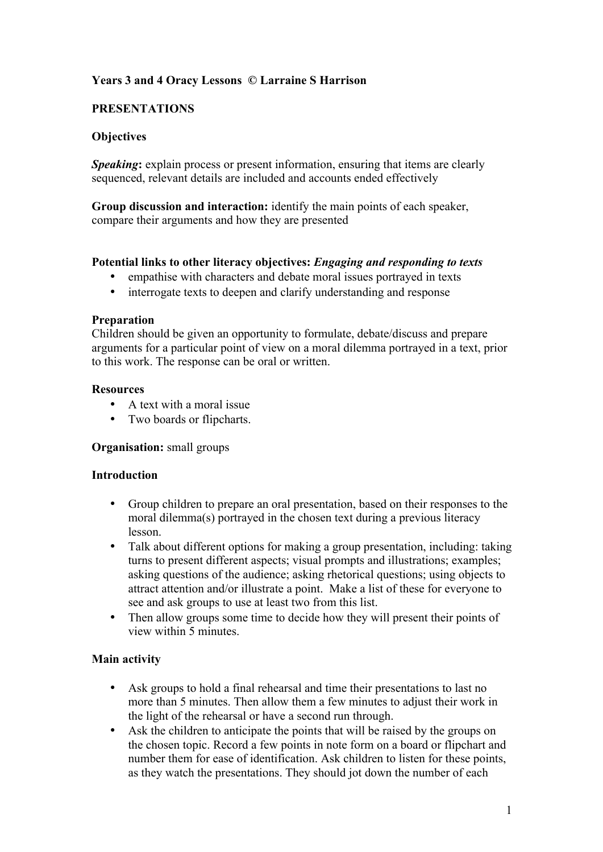# **Years 3 and 4 Oracy Lessons © Larraine S Harrison**

## **PRESENTATIONS**

## **Objectives**

*Speaking***:** explain process or present information, ensuring that items are clearly sequenced, relevant details are included and accounts ended effectively

**Group discussion and interaction:** identify the main points of each speaker, compare their arguments and how they are presented

## **Potential links to other literacy objectives:** *Engaging and responding to texts*

- empathise with characters and debate moral issues portrayed in texts
- interrogate texts to deepen and clarify understanding and response

### **Preparation**

Children should be given an opportunity to formulate, debate/discuss and prepare arguments for a particular point of view on a moral dilemma portrayed in a text, prior to this work. The response can be oral or written.

### **Resources**

- A text with a moral issue
- Two boards or flipcharts.

## **Organisation:** small groups

#### **Introduction**

- Group children to prepare an oral presentation, based on their responses to the moral dilemma(s) portrayed in the chosen text during a previous literacy lesson.
- Talk about different options for making a group presentation, including: taking turns to present different aspects; visual prompts and illustrations; examples; asking questions of the audience; asking rhetorical questions; using objects to attract attention and/or illustrate a point. Make a list of these for everyone to see and ask groups to use at least two from this list.
- Then allow groups some time to decide how they will present their points of view within 5 minutes.

## **Main activity**

- Ask groups to hold a final rehearsal and time their presentations to last no more than 5 minutes. Then allow them a few minutes to adjust their work in the light of the rehearsal or have a second run through.
- Ask the children to anticipate the points that will be raised by the groups on the chosen topic. Record a few points in note form on a board or flipchart and number them for ease of identification. Ask children to listen for these points, as they watch the presentations. They should jot down the number of each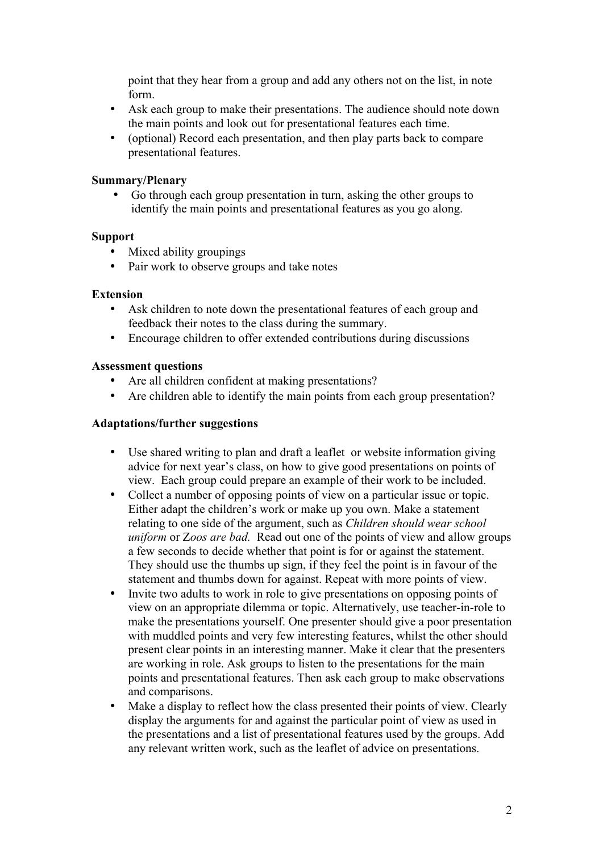point that they hear from a group and add any others not on the list, in note form.

- Ask each group to make their presentations. The audience should note down the main points and look out for presentational features each time.
- (optional) Record each presentation, and then play parts back to compare presentational features.

### **Summary/Plenary**

• Go through each group presentation in turn, asking the other groups to identify the main points and presentational features as you go along.

### **Support**

- Mixed ability groupings
- Pair work to observe groups and take notes

### **Extension**

- Ask children to note down the presentational features of each group and feedback their notes to the class during the summary.
- Encourage children to offer extended contributions during discussions

### **Assessment questions**

- Are all children confident at making presentations?
- Are children able to identify the main points from each group presentation?

### **Adaptations/further suggestions**

- Use shared writing to plan and draft a leaflet or website information giving advice for next year's class, on how to give good presentations on points of view. Each group could prepare an example of their work to be included.
- Collect a number of opposing points of view on a particular issue or topic. Either adapt the children's work or make up you own. Make a statement relating to one side of the argument, such as *Children should wear school uniform* or Z*oos are bad.* Read out one of the points of view and allow groups a few seconds to decide whether that point is for or against the statement. They should use the thumbs up sign, if they feel the point is in favour of the statement and thumbs down for against. Repeat with more points of view.
- Invite two adults to work in role to give presentations on opposing points of view on an appropriate dilemma or topic. Alternatively, use teacher-in-role to make the presentations yourself. One presenter should give a poor presentation with muddled points and very few interesting features, whilst the other should present clear points in an interesting manner. Make it clear that the presenters are working in role. Ask groups to listen to the presentations for the main points and presentational features. Then ask each group to make observations and comparisons.
- Make a display to reflect how the class presented their points of view. Clearly display the arguments for and against the particular point of view as used in the presentations and a list of presentational features used by the groups. Add any relevant written work, such as the leaflet of advice on presentations.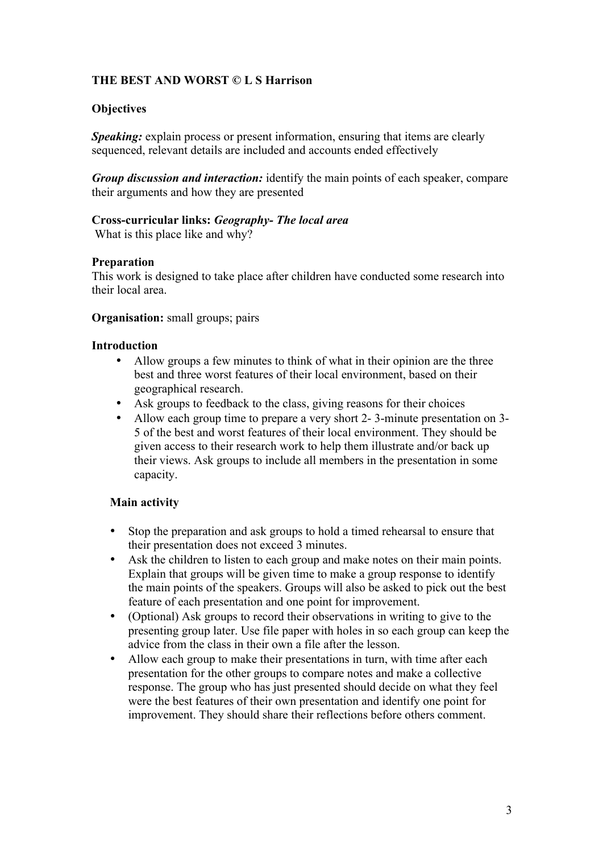# **THE BEST AND WORST © L S Harrison**

## **Objectives**

*Speaking:* explain process or present information, ensuring that items are clearly sequenced, relevant details are included and accounts ended effectively

*Group discussion and interaction:* identify the main points of each speaker, compare their arguments and how they are presented

## **Cross-curricular links:** *Geography- The local area*

What is this place like and why?

## **Preparation**

This work is designed to take place after children have conducted some research into their local area.

### **Organisation:** small groups; pairs

### **Introduction**

- Allow groups a few minutes to think of what in their opinion are the three best and three worst features of their local environment, based on their geographical research.
- Ask groups to feedback to the class, giving reasons for their choices
- Allow each group time to prepare a very short 2- 3-minute presentation on 3- 5 of the best and worst features of their local environment. They should be given access to their research work to help them illustrate and/or back up their views. Ask groups to include all members in the presentation in some capacity.

## **Main activity**

- Stop the preparation and ask groups to hold a timed rehearsal to ensure that their presentation does not exceed 3 minutes.
- Ask the children to listen to each group and make notes on their main points. Explain that groups will be given time to make a group response to identify the main points of the speakers. Groups will also be asked to pick out the best feature of each presentation and one point for improvement.
- (Optional) Ask groups to record their observations in writing to give to the presenting group later. Use file paper with holes in so each group can keep the advice from the class in their own a file after the lesson.
- Allow each group to make their presentations in turn, with time after each presentation for the other groups to compare notes and make a collective response. The group who has just presented should decide on what they feel were the best features of their own presentation and identify one point for improvement. They should share their reflections before others comment.